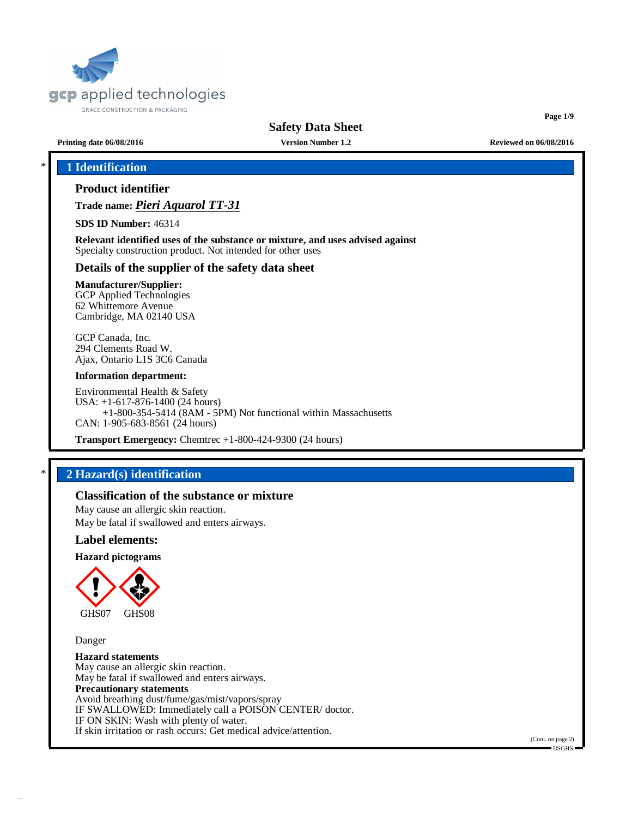

# **Safety Data Sheet**

**Page 1/9**

**Printing date 06/08/2016 Version Number 1.2 Reviewed on 06/08/2016**

# \* **1 Identification**

# **Product identifier**

**Trade name:** *Pieri Aquarol TT-31*

**SDS ID Number:** 46314

**Relevant identified uses of the substance or mixture, and uses advised against** Specialty construction product. Not intended for other uses

### **Details of the supplier of the safety data sheet**

### **Manufacturer/Supplier:**

GCP Applied Technologies 62 Whittemore Avenue Cambridge, MA 02140 USA

GCP Canada, Inc. 294 Clements Road W. Ajax, Ontario L1S 3C6 Canada

### **Information department:**

Environmental Health & Safety USA: +1-617-876-1400 (24 hours) +1-800-354-5414 (8AM - 5PM) Not functional within Massachusetts CAN: 1-905-683-8561 (24 hours)

**Transport Emergency:** Chemtrec +1-800-424-9300 (24 hours)

# \* **2 Hazard(s) identification**

### **Classification of the substance or mixture**

May cause an allergic skin reaction.

May be fatal if swallowed and enters airways.

### **Label elements:**

### **Hazard pictograms**



Danger

### **Hazard statements**

May cause an allergic skin reaction. May be fatal if swallowed and enters airways. **Precautionary statements** Avoid breathing dust/fume/gas/mist/vapors/spray IF SWALLOWED: Immediately call a POISON CENTER/ doctor. IF ON SKIN: Wash with plenty of water. If skin irritation or rash occurs: Get medical advice/attention.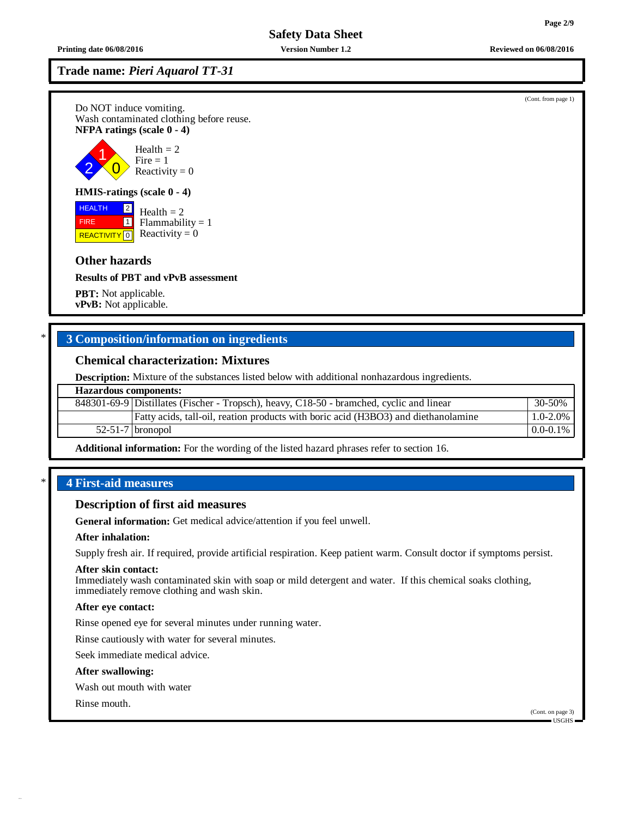# **Trade name:** *Pieri Aquarol TT-31*

Do NOT induce vomiting. Wash contaminated clothing before reuse. **NFPA ratings (scale 0 - 4)**



## **HMIS-ratings (scale 0 - 4)**

 HEALTH FIRE REACTIVITY  $\boxed{0}$  Reactivity = 0  $\vert$ 1 Health  $= 2$  $Flammability = 1$ 

### **Other hazards**

**Results of PBT and vPvB assessment**

**PBT:** Not applicable. **vPvB:** Not applicable.

# \* **3 Composition/information on ingredients**

# **Chemical characterization: Mixtures**

**Description:** Mixture of the substances listed below with additional nonhazardous ingredients.

| <b>Hazardous components:</b> |                                                                                          |                |  |  |
|------------------------------|------------------------------------------------------------------------------------------|----------------|--|--|
|                              | 848301-69-9 Distillates (Fischer - Tropsch), heavy, C18-50 - bramched, cyclic and linear | $30 - 50%$     |  |  |
|                              | Fatty acids, tall-oil, reation products with boric acid (H3BO3) and diethanolamine       | $1.0 - 2.0\%$  |  |  |
|                              | $52-51-7$ bronopol                                                                       | $10.0 - 0.1\%$ |  |  |
|                              |                                                                                          |                |  |  |

**Additional information:** For the wording of the listed hazard phrases refer to section 16.

### \* **4 First-aid measures**

### **Description of first aid measures**

**General information:** Get medical advice/attention if you feel unwell.

#### **After inhalation:**

Supply fresh air. If required, provide artificial respiration. Keep patient warm. Consult doctor if symptoms persist.

#### **After skin contact:**

Immediately wash contaminated skin with soap or mild detergent and water. If this chemical soaks clothing, immediately remove clothing and wash skin.

### **After eye contact:**

Rinse opened eye for several minutes under running water.

Rinse cautiously with water for several minutes.

Seek immediate medical advice.

### **After swallowing:**

Wash out mouth with water

Rinse mouth.

(Cont. on page 3) USGHS

(Cont. from page 1)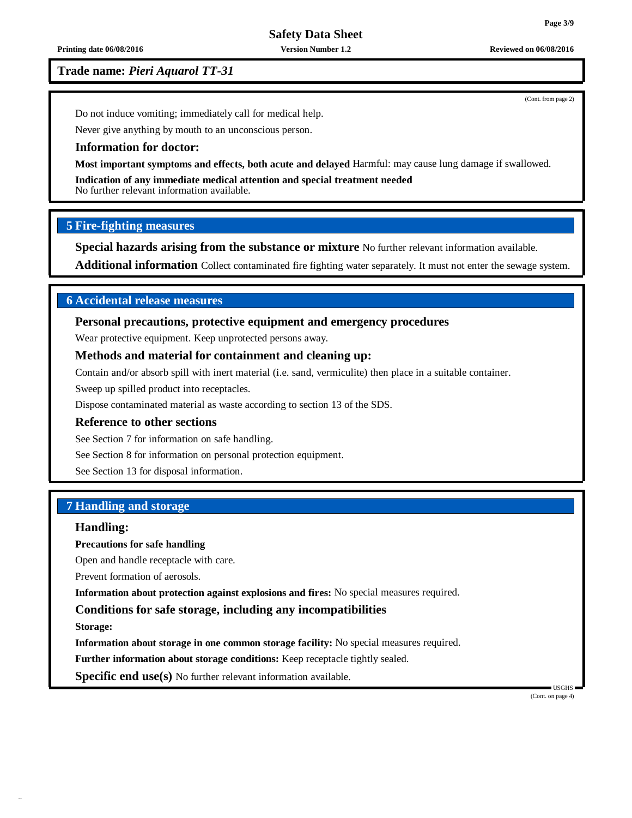**Safety Data Sheet**

**Printing date 06/08/2016 Version Number 1.2 Reviewed on 06/08/2016**

**Trade name:** *Pieri Aquarol TT-31*

Do not induce vomiting; immediately call for medical help.

Never give anything by mouth to an unconscious person.

### **Information for doctor:**

**Most important symptoms and effects, both acute and delayed** Harmful: may cause lung damage if swallowed.

**Indication of any immediate medical attention and special treatment needed** No further relevant information available.

# **5 Fire-fighting measures**

**Special hazards arising from the substance or mixture** No further relevant information available.

**Additional information** Collect contaminated fire fighting water separately. It must not enter the sewage system.

# **6 Accidental release measures**

### **Personal precautions, protective equipment and emergency procedures**

Wear protective equipment. Keep unprotected persons away.

### **Methods and material for containment and cleaning up:**

Contain and/or absorb spill with inert material (i.e. sand, vermiculite) then place in a suitable container.

Sweep up spilled product into receptacles.

Dispose contaminated material as waste according to section 13 of the SDS.

### **Reference to other sections**

See Section 7 for information on safe handling.

See Section 8 for information on personal protection equipment.

See Section 13 for disposal information.

# **7 Handling and storage**

# **Handling:**

**Precautions for safe handling**

Open and handle receptacle with care.

Prevent formation of aerosols.

**Information about protection against explosions and fires:** No special measures required.

### **Conditions for safe storage, including any incompatibilities**

**Storage:**

**Information about storage in one common storage facility:** No special measures required.

**Further information about storage conditions:** Keep receptacle tightly sealed.

**Specific end use(s)** No further relevant information available.

USGHS (Cont. on page 4)

(Cont. from page 2)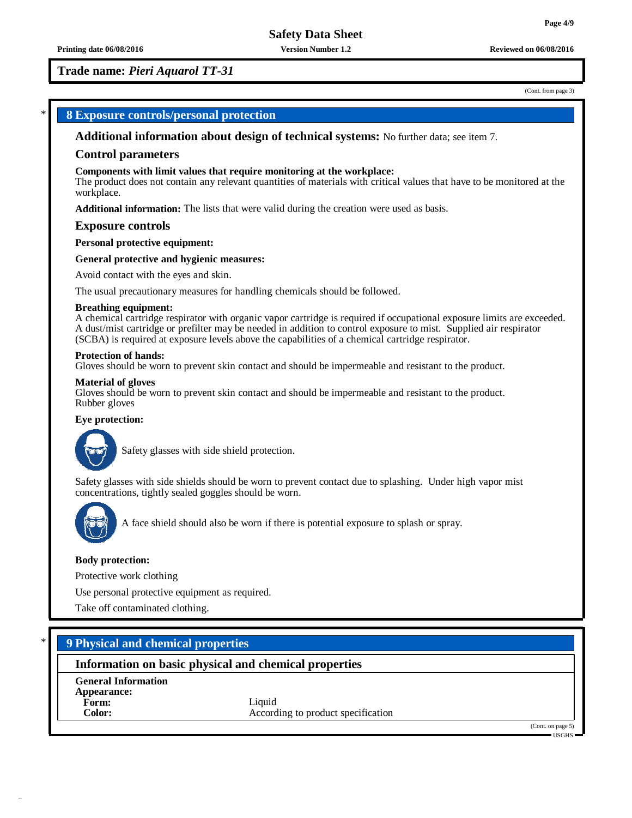# **Trade name:** *Pieri Aquarol TT-31*

(Cont. from page 3)

**Page 4/9**

# \* **8 Exposure controls/personal protection**

**Additional information about design of technical systems:** No further data; see item 7.

### **Control parameters**

#### **Components with limit values that require monitoring at the workplace:**

The product does not contain any relevant quantities of materials with critical values that have to be monitored at the workplace.

**Additional information:** The lists that were valid during the creation were used as basis.

### **Exposure controls**

**Personal protective equipment:**

#### **General protective and hygienic measures:**

Avoid contact with the eyes and skin.

The usual precautionary measures for handling chemicals should be followed.

#### **Breathing equipment:**

A chemical cartridge respirator with organic vapor cartridge is required if occupational exposure limits are exceeded. A dust/mist cartridge or prefilter may be needed in addition to control exposure to mist. Supplied air respirator (SCBA) is required at exposure levels above the capabilities of a chemical cartridge respirator.

#### **Protection of hands:**

Gloves should be worn to prevent skin contact and should be impermeable and resistant to the product.

#### **Material of gloves**

Gloves should be worn to prevent skin contact and should be impermeable and resistant to the product. Rubber gloves

#### **Eye protection:**



Safety glasses with side shield protection.

Safety glasses with side shields should be worn to prevent contact due to splashing. Under high vapor mist concentrations, tightly sealed goggles should be worn.



A face shield should also be worn if there is potential exposure to splash or spray.

#### **Body protection:**

Protective work clothing

Use personal protective equipment as required.

Take off contaminated clothing.

# \* **9 Physical and chemical properties**

### **Information on basic physical and chemical properties**

**General Information Appearance:** Form: Liquid

**Color:** According to product specification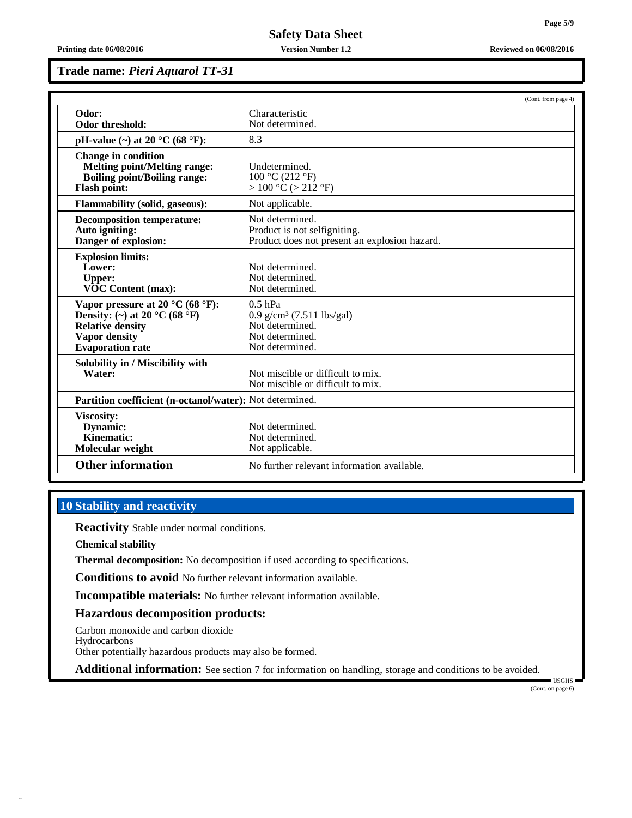**Safety Data Sheet**

#### **Printing date 06/08/2016 Version Number 1.2 Reviewed on 06/08/2016**

# **Trade name:** *Pieri Aquarol TT-31*

|                                                                                                                                                                                         | (Cont. from page 4)                                                                                           |
|-----------------------------------------------------------------------------------------------------------------------------------------------------------------------------------------|---------------------------------------------------------------------------------------------------------------|
| Odor:                                                                                                                                                                                   | Characteristic                                                                                                |
| Odor threshold:                                                                                                                                                                         | Not determined.                                                                                               |
| pH-value $(\sim)$ at 20 °C (68 °F):                                                                                                                                                     | 8.3                                                                                                           |
| <b>Change in condition</b><br><b>Melting point/Melting range:</b><br><b>Boiling point/Boiling range:</b><br><b>Flash point:</b>                                                         | Undetermined.<br>100 °C (212 °F)<br>$> 100$ °C ( $> 212$ °F)                                                  |
| <b>Flammability (solid, gaseous):</b>                                                                                                                                                   | Not applicable.                                                                                               |
| <b>Decomposition temperature:</b><br>Auto igniting:<br>Danger of explosion:                                                                                                             | Not determined.<br>Product is not selfigniting.<br>Product does not present an explosion hazard.              |
| <b>Explosion limits:</b><br>Lower:<br><b>Upper:</b><br><b>VOC Content (max):</b>                                                                                                        | Not determined.<br>Not determined.<br>Not determined.                                                         |
| Vapor pressure at 20 $^{\circ}$ C (68 $^{\circ}$ F):<br>Density: (~) at 20 $^{\circ}$ C (68 $^{\circ}$ F)<br><b>Relative density</b><br><b>Vapor density</b><br><b>Evaporation rate</b> | $0.5$ hPa<br>$0.9$ g/cm <sup>3</sup> (7.511 lbs/gal)<br>Not determined.<br>Not determined.<br>Not determined. |
| Solubility in / Miscibility with<br>Water:                                                                                                                                              | Not miscible or difficult to mix.<br>Not miscible or difficult to mix.                                        |
| <b>Partition coefficient (n-octanol/water):</b> Not determined.                                                                                                                         |                                                                                                               |
| <b>Viscosity:</b><br>Dynamic:<br>Kinematic:<br>Molecular weight                                                                                                                         | Not determined.<br>Not determined.<br>Not applicable.                                                         |
| <b>Other information</b>                                                                                                                                                                | No further relevant information available.                                                                    |

# **10 Stability and reactivity**

**Reactivity** Stable under normal conditions.

**Chemical stability**

**Thermal decomposition:** No decomposition if used according to specifications.

**Conditions to avoid** No further relevant information available.

**Incompatible materials:** No further relevant information available.

# **Hazardous decomposition products:**

Carbon monoxide and carbon dioxide Hydrocarbons

Other potentially hazardous products may also be formed.

**Additional information:** See section 7 for information on handling, storage and conditions to be avoided.

USGHS (Cont. on page 6)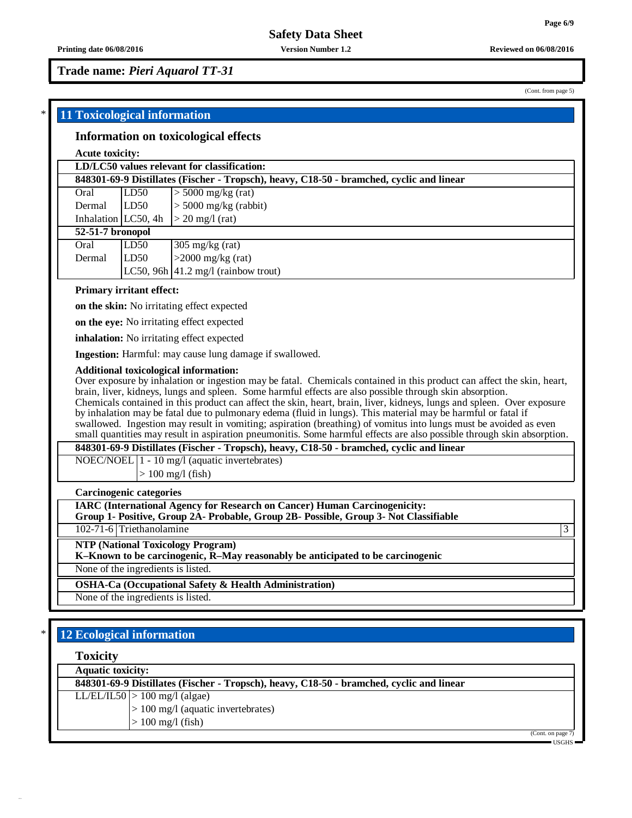### **Trade name:** *Pieri Aquarol TT-31*

# \* **11 Toxicological information**

### **Information on toxicological effects**

### **Acute toxicity:**

| LD/LC50 values relevant for classification:                                              |      |                                                |  |  |  |  |
|------------------------------------------------------------------------------------------|------|------------------------------------------------|--|--|--|--|
| 848301-69-9 Distillates (Fischer - Tropsch), heavy, C18-50 - bramched, cyclic and linear |      |                                                |  |  |  |  |
| Oral                                                                                     | LD50 | $>$ 5000 mg/kg (rat)                           |  |  |  |  |
| Dermal                                                                                   | LD50 | $>$ 5000 mg/kg (rabbit)                        |  |  |  |  |
| Inhalation $LC50$ , 4h                                                                   |      | $>$ 20 mg/l (rat)                              |  |  |  |  |
| 52-51-7 bronopol                                                                         |      |                                                |  |  |  |  |
| Oral                                                                                     | LD50 | $305 \text{ mg/kg}$ (rat)                      |  |  |  |  |
| Dermal                                                                                   | LD50 | $>2000$ mg/kg (rat)                            |  |  |  |  |
|                                                                                          |      | LC50, 96h $ 41.2 \text{ mg/l}$ (rainbow trout) |  |  |  |  |

#### **Primary irritant effect:**

**on the skin:** No irritating effect expected

**on the eye:** No irritating effect expected

**inhalation:** No irritating effect expected

**Ingestion:** Harmful: may cause lung damage if swallowed.

#### **Additional toxicological information:**

Over exposure by inhalation or ingestion may be fatal. Chemicals contained in this product can affect the skin, heart, brain, liver, kidneys, lungs and spleen. Some harmful effects are also possible through skin absorption. Chemicals contained in this product can affect the skin, heart, brain, liver, kidneys, lungs and spleen. Over exposure by inhalation may be fatal due to pulmonary edema (fluid in lungs). This material may be harmful or fatal if swallowed. Ingestion may result in vomiting; aspiration (breathing) of vomitus into lungs must be avoided as even small quantities may result in aspiration pneumonitis. Some harmful effects are also possible through skin absorption.

**848301-69-9 Distillates (Fischer - Tropsch), heavy, C18-50 - bramched, cyclic and linear**

NOEC/NOEL 1 - 10 mg/l (aquatic invertebrates)

 $> 100$  mg/l (fish)

**Carcinogenic categories**

**IARC (International Agency for Research on Cancer) Human Carcinogenicity:**

**Group 1- Positive, Group 2A- Probable, Group 2B- Possible, Group 3- Not Classifiable**

102-71-6 Triethanolamine 3

**NTP (National Toxicology Program)**

**K–Known to be carcinogenic, R–May reasonably be anticipated to be carcinogenic**

None of the ingredients is listed.

**OSHA-Ca (Occupational Safety & Health Administration)**

None of the ingredients is listed.

# \* **12 Ecological information**

**Toxicity**

**Aquatic toxicity:**

**848301-69-9 Distillates (Fischer - Tropsch), heavy, C18-50 - bramched, cyclic and linear**

 $LL/EL/IL50$   $>$  100 mg/l (algae)

> 100 mg/l (aquatic invertebrates)

 $> 100$  mg/l (fish)

 $(Cont. on page$ USGHS

**Page 6/9**

(Cont. from page 5)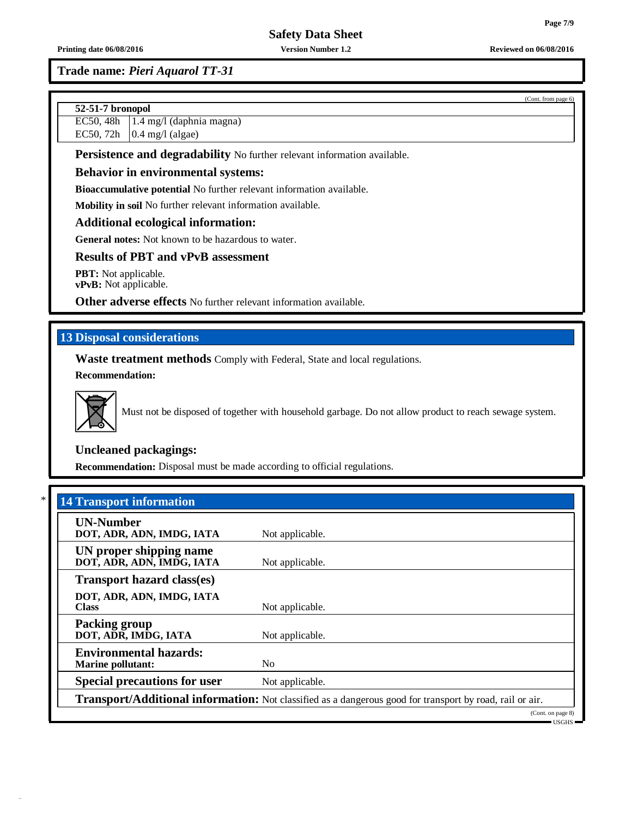# **Trade name:** *Pieri Aquarol TT-31*

### **52-51-7 bronopol**

EC50, 48h 1.4 mg/l (daphnia magna)

EC50, 72h  $\vert$  0.4 mg/l (algae)

**Persistence and degradability** No further relevant information available.

### **Behavior in environmental systems:**

**Bioaccumulative potential** No further relevant information available.

**Mobility in soil** No further relevant information available.

### **Additional ecological information:**

**General notes:** Not known to be hazardous to water.

# **Results of PBT and vPvB assessment**

**PBT:** Not applicable. **vPvB:** Not applicable.

**Other adverse effects** No further relevant information available.

# **13 Disposal considerations**

**Waste treatment methods** Comply with Federal, State and local regulations.

## **Recommendation:**



Must not be disposed of together with household garbage. Do not allow product to reach sewage system.

### **Uncleaned packagings:**

**Recommendation:** Disposal must be made according to official regulations.

| <b>14 Transport information</b>                           |                                                                                                                 |
|-----------------------------------------------------------|-----------------------------------------------------------------------------------------------------------------|
| <b>UN-Number</b><br>DOT, ADR, ADN, IMDG, IATA             | Not applicable.                                                                                                 |
| UN proper shipping name<br>DOT, ADR, ADN, IMDG, IATA      | Not applicable.                                                                                                 |
| <b>Transport hazard class(es)</b>                         |                                                                                                                 |
| DOT, ADR, ADN, IMDG, IATA<br><b>Class</b>                 | Not applicable.                                                                                                 |
| <b>Packing group</b><br>DOT, ADR, IMDG, IATA              | Not applicable.                                                                                                 |
| <b>Environmental hazards:</b><br><b>Marine pollutant:</b> | N <sub>0</sub>                                                                                                  |
| <b>Special precautions for user</b>                       | Not applicable.                                                                                                 |
|                                                           | <b>Transport/Additional information:</b> Not classified as a dangerous good for transport by road, rail or air. |
|                                                           | (Cont. on page 8)                                                                                               |

(Cont. from page 6)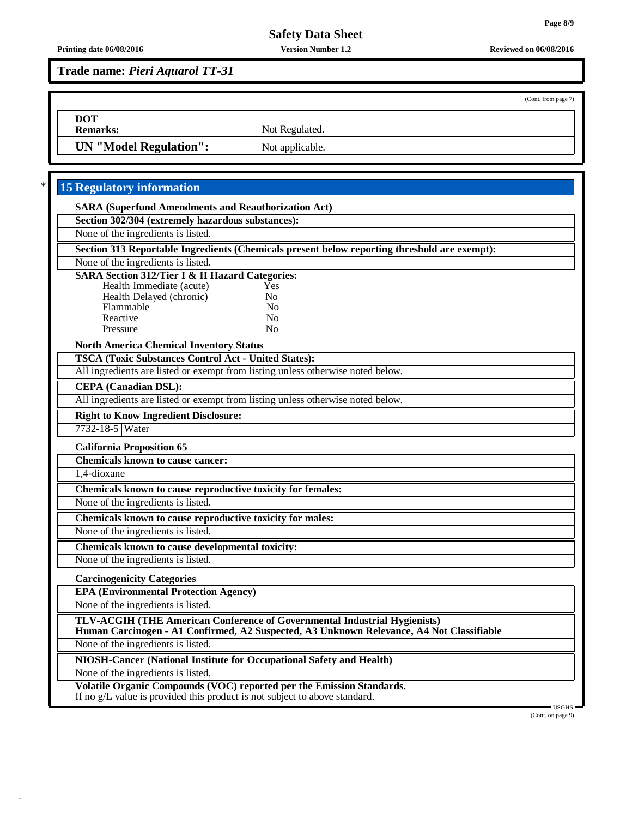(Cont. from page 7)

# **Safety Data Sheet**

**Printing date 06/08/2016 Version Number 1.2 Reviewed on 06/08/2016**

**Trade name:** *Pieri Aquarol TT-31*

**DOT**

**Remarks:** Not Regulated.

**UN** "Model **Regulation":** Not applicable.

# \* **15 Regulatory information**

**SARA (Superfund Amendments and Reauthorization Act)**

**Section 302/304 (extremely hazardous substances):** None of the ingredients is listed.

**Section 313 Reportable Ingredients (Chemicals present below reporting threshold are exempt):**

None of the ingredients is listed.

### **SARA Section 312/Tier I & II Hazard Categories:**

| Health Immediate (acute) | Yes |
|--------------------------|-----|
| Health Delayed (chronic) | No. |
| Flammable                | No  |
| Reactive                 | Nο  |
| Pressure                 | Nο  |

### **North America Chemical Inventory Status**

**TSCA (Toxic Substances Control Act - United States):**

All ingredients are listed or exempt from listing unless otherwise noted below.

**CEPA (Canadian DSL):**

All ingredients are listed or exempt from listing unless otherwise noted below.

**Right to Know Ingredient Disclosure:**

7732-18-5 Water

**California Proposition 65**

**Chemicals known to cause cancer:**

1,4-dioxane

**Chemicals known to cause reproductive toxicity for females:**

None of the ingredients is listed.

**Chemicals known to cause reproductive toxicity for males:**

None of the ingredients is listed.

**Chemicals known to cause developmental toxicity:**

None of the ingredients is listed.

**Carcinogenicity Categories**

**EPA (Environmental Protection Agency)**

None of the ingredients is listed.

**TLV-ACGIH (THE American Conference of Governmental Industrial Hygienists)**

**Human Carcinogen - A1 Confirmed, A2 Suspected, A3 Unknown Relevance, A4 Not Classifiable**

None of the ingredients is listed.

**NIOSH-Cancer (National Institute for Occupational Safety and Health)**

None of the ingredients is listed.

**Volatile Organic Compounds (VOC) reported per the Emission Standards.**

If no g/L value is provided this product is not subject to above standard.

USGHS (Cont. on page 9)